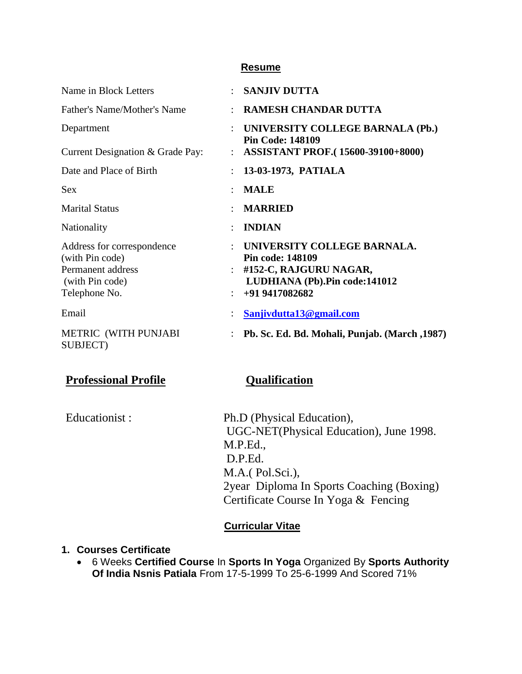#### **Resume**

| Name in Block Letters                                                                                  | $\bullet$      | <b>SANJIV DUTTA</b>                                                                                                                   |
|--------------------------------------------------------------------------------------------------------|----------------|---------------------------------------------------------------------------------------------------------------------------------------|
| Father's Name/Mother's Name                                                                            |                | <b>RAMESH CHANDAR DUTTA</b>                                                                                                           |
| Department                                                                                             | $\ddot{\cdot}$ | UNIVERSITY COLLEGE BARNALA (Pb.)<br><b>Pin Code: 148109</b>                                                                           |
| Current Designation & Grade Pay:                                                                       |                | <b>ASSISTANT PROF.</b> (15600-39100+8000)                                                                                             |
| Date and Place of Birth                                                                                |                | 13-03-1973, PATIALA                                                                                                                   |
| <b>Sex</b>                                                                                             |                | <b>MALE</b>                                                                                                                           |
| <b>Marital Status</b>                                                                                  |                | <b>MARRIED</b>                                                                                                                        |
| Nationality                                                                                            |                | <b>INDIAN</b>                                                                                                                         |
| Address for correspondence<br>(with Pin code)<br>Permanent address<br>(with Pin code)<br>Telephone No. | $\bullet$ .    | UNIVERSITY COLLEGE BARNALA.<br><b>Pin code: 148109</b><br>#152-C, RAJGURU NAGAR,<br>LUDHIANA (Pb). Pin code: 141012<br>+91 9417082682 |
| Email                                                                                                  |                | Sanjivdutta13@gmail.com                                                                                                               |
| METRIC (WITH PUNJABI<br>SUBJECT)                                                                       |                | Pb. Sc. Ed. Bd. Mohali, Punjab. (March, 1987)                                                                                         |

# **Professional Profile Qualification**

Educationist : Ph.D (Physical Education), UGC-NET(Physical Education), June 1998. M.P.Ed., D.P.Ed. M.A.( Pol.Sci.), 2year Diploma In Sports Coaching (Boxing) Certificate Course In Yoga & Fencing

## **Curricular Vitae**

#### **1. Courses Certificate**

 6 Weeks **Certified Course** In **Sports In Yoga** Organized By **Sports Authority Of India Nsnis Patiala** From 17-5-1999 To 25-6-1999 And Scored 71%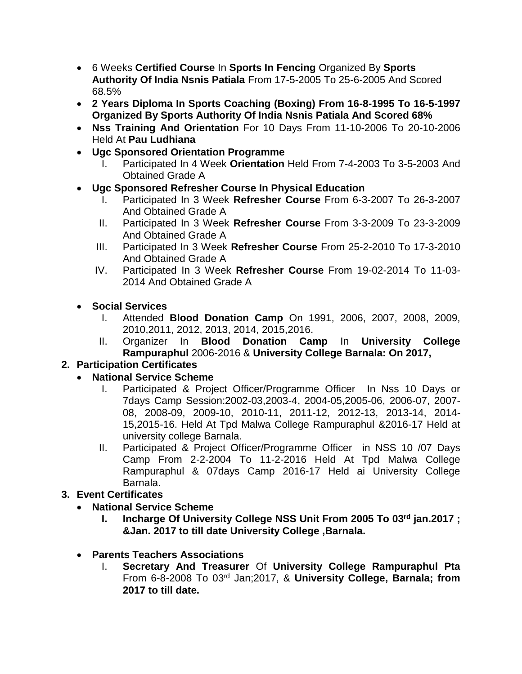- 6 Weeks **Certified Course** In **Sports In Fencing** Organized By **Sports Authority Of India Nsnis Patiala** From 17-5-2005 To 25-6-2005 And Scored 68.5%
- **2 Years Diploma In Sports Coaching (Boxing) From 16-8-1995 To 16-5-1997 Organized By Sports Authority Of India Nsnis Patiala And Scored 68%**
- **Nss Training And Orientation** For 10 Days From 11-10-2006 To 20-10-2006 Held At **Pau Ludhiana**
- **Ugc Sponsored Orientation Programme**
	- I. Participated In 4 Week **Orientation** Held From 7-4-2003 To 3-5-2003 And Obtained Grade A
- **Ugc Sponsored Refresher Course In Physical Education**
	- I. Participated In 3 Week **Refresher Course** From 6-3-2007 To 26-3-2007 And Obtained Grade A
	- II. Participated In 3 Week **Refresher Course** From 3-3-2009 To 23-3-2009 And Obtained Grade A
	- III. Participated In 3 Week **Refresher Course** From 25-2-2010 To 17-3-2010 And Obtained Grade A
	- IV. Participated In 3 Week **Refresher Course** From 19-02-2014 To 11-03- 2014 And Obtained Grade A
- **Social Services**
	- I. Attended **Blood Donation Camp** On 1991, 2006, 2007, 2008, 2009, 2010,2011, 2012, 2013, 2014, 2015,2016.
	- II. Organizer In **Blood Donation Camp** In **University College Rampuraphul** 2006-2016 & **University College Barnala: On 2017,**

# **2. Participation Certificates**

- **National Service Scheme**
	- I. Participated & Project Officer/Programme Officer In Nss 10 Days or 7days Camp Session:2002-03,2003-4, 2004-05,2005-06, 2006-07, 2007- 08, 2008-09, 2009-10, 2010-11, 2011-12, 2012-13, 2013-14, 2014- 15,2015-16. Held At Tpd Malwa College Rampuraphul &2016-17 Held at university college Barnala.
	- II. Participated & Project Officer/Programme Officer in NSS 10 /07 Days Camp From 2-2-2004 To 11-2-2016 Held At Tpd Malwa College Rampuraphul & 07days Camp 2016-17 Held ai University College Barnala.

## **3. Event Certificates**

- **National Service Scheme**
	- **I. Incharge Of University College NSS Unit From 2005 To 03rd jan.2017 ; &Jan. 2017 to till date University College ,Barnala.**
- **Parents Teachers Associations**
	- I. **Secretary And Treasurer** Of **University College Rampuraphul Pta** From 6-8-2008 To 03rd Jan;2017, & **University College, Barnala; from 2017 to till date.**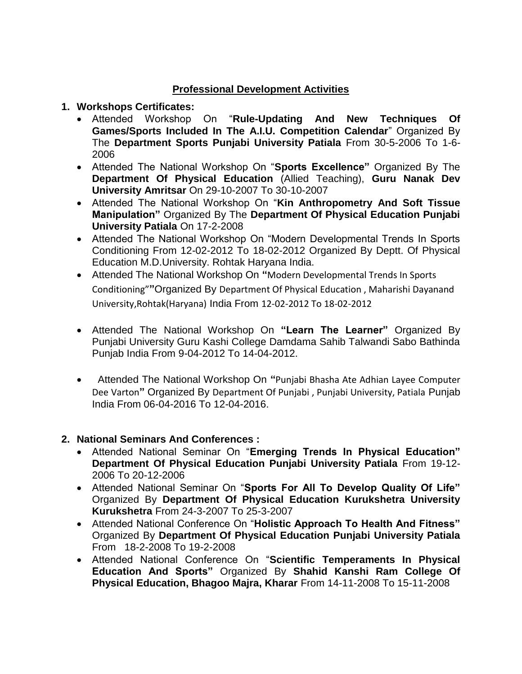## **Professional Development Activities**

#### **1. Workshops Certificates:**

- Attended Workshop On "**Rule-Updating And New Techniques Of Games/Sports Included In The A.I.U. Competition Calendar**" Organized By The **Department Sports Punjabi University Patiala** From 30-5-2006 To 1-6- 2006
- Attended The National Workshop On "**Sports Excellence"** Organized By The **Department Of Physical Education** (Allied Teaching), **Guru Nanak Dev University Amritsar** On 29-10-2007 To 30-10-2007
- Attended The National Workshop On "**Kin Anthropometry And Soft Tissue Manipulation"** Organized By The **Department Of Physical Education Punjabi University Patiala** On 17-2-2008
- Attended The National Workshop On "Modern Developmental Trends In Sports Conditioning From 12-02-2012 To 18-02-2012 Organized By Deptt. Of Physical Education M.D.University. Rohtak Haryana India.
- Attended The National Workshop On **"**Modern Developmental Trends In Sports Conditioning"**"**Organized By Department Of Physical Education , Maharishi Dayanand University,Rohtak(Haryana) India From 12-02-2012 To 18-02-2012
- Attended The National Workshop On **"Learn The Learner"** Organized By Punjabi University Guru Kashi College Damdama Sahib Talwandi Sabo Bathinda Punjab India From 9-04-2012 To 14-04-2012.
- Attended The National Workshop On **"**Punjabi Bhasha Ate Adhian Layee Computer Dee Varton**"** Organized By Department Of Punjabi , Punjabi University, Patiala Punjab India From 06-04-2016 To 12-04-2016.

## **2. National Seminars And Conferences :**

- Attended National Seminar On "**Emerging Trends In Physical Education" Department Of Physical Education Punjabi University Patiala** From 19-12- 2006 To 20-12-2006
- Attended National Seminar On "**Sports For All To Develop Quality Of Life"**  Organized By **Department Of Physical Education Kurukshetra University Kurukshetra** From 24-3-2007 To 25-3-2007
- Attended National Conference On "**Holistic Approach To Health And Fitness"**  Organized By **Department Of Physical Education Punjabi University Patiala**  From 18-2-2008 To 19-2-2008
- Attended National Conference On "**Scientific Temperaments In Physical Education And Sports"** Organized By **Shahid Kanshi Ram College Of Physical Education, Bhagoo Majra, Kharar** From 14-11-2008 To 15-11-2008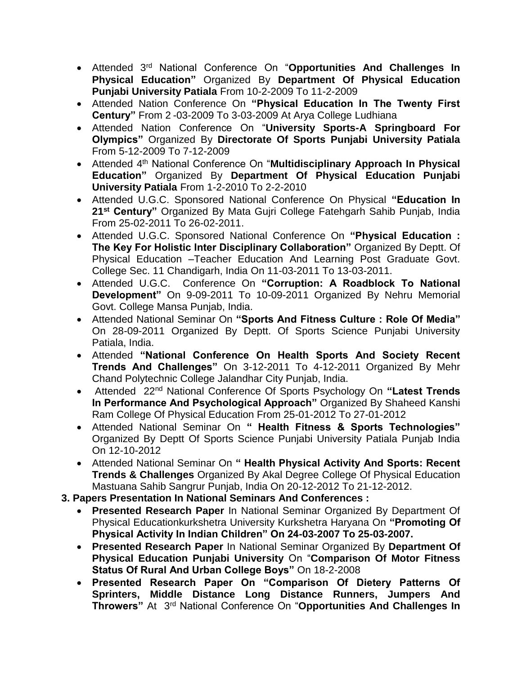- Attended 3rd National Conference On "**Opportunities And Challenges In Physical Education"** Organized By **Department Of Physical Education Punjabi University Patiala** From 10-2-2009 To 11-2-2009
- Attended Nation Conference On **"Physical Education In The Twenty First Century"** From 2 -03-2009 To 3-03-2009 At Arya College Ludhiana
- Attended Nation Conference On "**University Sports-A Springboard For Olympics"** Organized By **Directorate Of Sports Punjabi University Patiala** From 5-12-2009 To 7-12-2009
- Attended 4th National Conference On "**Multidisciplinary Approach In Physical Education"** Organized By **Department Of Physical Education Punjabi University Patiala** From 1-2-2010 To 2-2-2010
- Attended U.G.C. Sponsored National Conference On Physical **"Education In 21st Century"** Organized By Mata Gujri College Fatehgarh Sahib Punjab, India From 25-02-2011 To 26-02-2011.
- Attended U.G.C. Sponsored National Conference On **"Physical Education : The Key For Holistic Inter Disciplinary Collaboration"** Organized By Deptt. Of Physical Education –Teacher Education And Learning Post Graduate Govt. College Sec. 11 Chandigarh, India On 11-03-2011 To 13-03-2011.
- Attended U.G.C. Conference On **"Corruption: A Roadblock To National Development"** On 9-09-2011 To 10-09-2011 Organized By Nehru Memorial Govt. College Mansa Punjab, India.
- Attended National Seminar On **"Sports And Fitness Culture : Role Of Media"** On 28-09-2011 Organized By Deptt. Of Sports Science Punjabi University Patiala, India.
- Attended **"National Conference On Health Sports And Society Recent Trends And Challenges"** On 3-12-2011 To 4-12-2011 Organized By Mehr Chand Polytechnic College Jalandhar City Punjab, India.
- Attended 22nd National Conference Of Sports Psychology On **"Latest Trends In Performance And Psychological Approach"** Organized By Shaheed Kanshi Ram College Of Physical Education From 25-01-2012 To 27-01-2012
- Attended National Seminar On **" Health Fitness & Sports Technologies"** Organized By Deptt Of Sports Science Punjabi University Patiala Punjab India On 12-10-2012
- Attended National Seminar On **" Health Physical Activity And Sports: Recent Trends & Challenges** Organized By Akal Degree College Of Physical Education Mastuana Sahib Sangrur Punjab, India On 20-12-2012 To 21-12-2012.
- **3. Papers Presentation In National Seminars And Conferences :**
	- **Presented Research Paper** In National Seminar Organized By Department Of Physical Educationkurkshetra University Kurkshetra Haryana On **"Promoting Of Physical Activity In Indian Children" On 24-03-2007 To 25-03-2007.**
	- **Presented Research Paper** In National Seminar Organized By **Department Of Physical Education Punjabi University** On "**Comparison Of Motor Fitness Status Of Rural And Urban College Boys"** On 18-2-2008
	- **Presented Research Paper On "Comparison Of Dietery Patterns Of Sprinters, Middle Distance Long Distance Runners, Jumpers And Throwers"** At 3rd National Conference On "**Opportunities And Challenges In**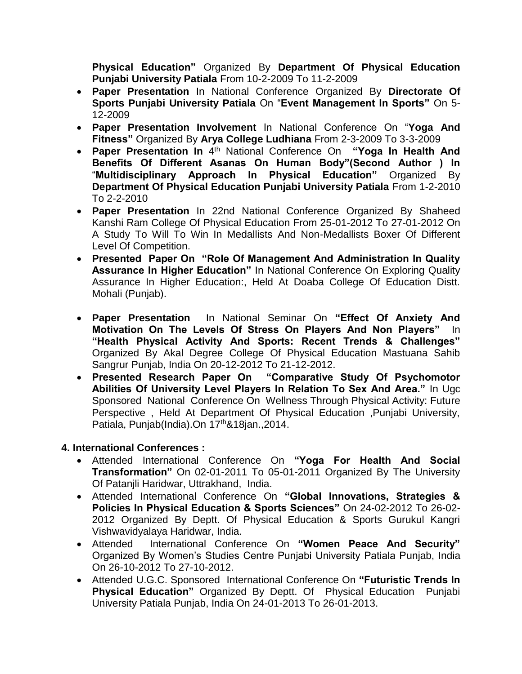**Physical Education"** Organized By **Department Of Physical Education Punjabi University Patiala** From 10-2-2009 To 11-2-2009

- **Paper Presentation** In National Conference Organized By **Directorate Of Sports Punjabi University Patiala** On "**Event Management In Sports"** On 5- 12-2009
- **Paper Presentation Involvement** In National Conference On "**Yoga And Fitness"** Organized By **Arya College Ludhiana** From 2-3-2009 To 3-3-2009
- **Paper Presentation In** 4<sup>th</sup> National Conference On **"Yoga In Health And Benefits Of Different Asanas On Human Body"(Second Author ) In** "**Multidisciplinary Approach In Physical Education"** Organized By **Department Of Physical Education Punjabi University Patiala** From 1-2-2010 To 2-2-2010
- **Paper Presentation** In 22nd National Conference Organized By Shaheed Kanshi Ram College Of Physical Education From 25-01-2012 To 27-01-2012 On A Study To Will To Win In Medallists And Non-Medallists Boxer Of Different Level Of Competition.
- **Presented Paper On "Role Of Management And Administration In Quality Assurance In Higher Education"** In National Conference On Exploring Quality Assurance In Higher Education:, Held At Doaba College Of Education Distt. Mohali (Punjab).
- **Paper Presentation** In National Seminar On **"Effect Of Anxiety And Motivation On The Levels Of Stress On Players And Non Players"** In **"Health Physical Activity And Sports: Recent Trends & Challenges"**  Organized By Akal Degree College Of Physical Education Mastuana Sahib Sangrur Punjab, India On 20-12-2012 To 21-12-2012.
- **Presented Research Paper On "Comparative Study Of Psychomotor Abilities Of University Level Players In Relation To Sex And Area."** In Ugc Sponsored National Conference On Wellness Through Physical Activity: Future Perspective , Held At Department Of Physical Education ,Punjabi University, Patiala, Punjab(India).On 17<sup>th</sup>&18jan.,2014.

## **4. International Conferences :**

- Attended International Conference On **"Yoga For Health And Social Transformation"** On 02-01-2011 To 05-01-2011 Organized By The University Of Patanjli Haridwar, Uttrakhand, India.
- Attended International Conference On **"Global Innovations, Strategies & Policies In Physical Education & Sports Sciences"** On 24-02-2012 To 26-02- 2012 Organized By Deptt. Of Physical Education & Sports Gurukul Kangri Vishwavidyalaya Haridwar, India.
- Attended International Conference On **"Women Peace And Security"** Organized By Women's Studies Centre Punjabi University Patiala Punjab, India On 26-10-2012 To 27-10-2012.
- Attended U.G.C. Sponsored International Conference On **"Futuristic Trends In Physical Education"** Organized By Deptt. Of Physical Education Punjabi University Patiala Punjab, India On 24-01-2013 To 26-01-2013.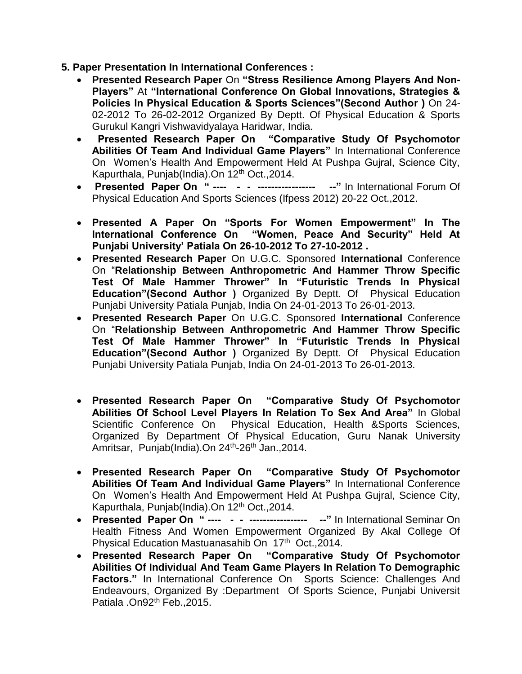- **5. Paper Presentation In International Conferences :**
	- **Presented Research Paper** On **"Stress Resilience Among Players And Non-Players"** At **"International Conference On Global Innovations, Strategies & Policies In Physical Education & Sports Sciences"(Second Author )** On 24- 02-2012 To 26-02-2012 Organized By Deptt. Of Physical Education & Sports Gurukul Kangri Vishwavidyalaya Haridwar, India.
	- **Presented Research Paper On "Comparative Study Of Psychomotor Abilities Of Team And Individual Game Players"** In International Conference On Women's Health And Empowerment Held At Pushpa Gujral, Science City, Kapurthala, Punjab(India).On 12<sup>th</sup> Oct., 2014.
	- **Presented Paper On " ---- - ----------------- --"** In International Forum Of Physical Education And Sports Sciences (Ifpess 2012) 20-22 Oct.,2012.
	- **Presented A Paper On "Sports For Women Empowerment" In The International Conference On "Women, Peace And Security" Held At Punjabi University' Patiala On 26-10-2012 To 27-10-2012 .**
	- **Presented Research Paper** On U.G.C. Sponsored **International** Conference On "**Relationship Between Anthropometric And Hammer Throw Specific Test Of Male Hammer Thrower" In "Futuristic Trends In Physical Education"(Second Author )** Organized By Deptt. Of Physical Education Punjabi University Patiala Punjab, India On 24-01-2013 To 26-01-2013.
	- **Presented Research Paper** On U.G.C. Sponsored **International** Conference On "**Relationship Between Anthropometric And Hammer Throw Specific Test Of Male Hammer Thrower" In "Futuristic Trends In Physical Education"(Second Author )** Organized By Deptt. Of Physical Education Punjabi University Patiala Punjab, India On 24-01-2013 To 26-01-2013.
	- **Presented Research Paper On "Comparative Study Of Psychomotor Abilities Of School Level Players In Relation To Sex And Area"** In Global Scientific Conference On Physical Education, Health &Sports Sciences, Organized By Department Of Physical Education, Guru Nanak University Amritsar, Punjab(India).On 24<sup>th</sup>-26<sup>th</sup> Jan.,2014.
	- **Presented Research Paper On "Comparative Study Of Psychomotor Abilities Of Team And Individual Game Players"** In International Conference On Women's Health And Empowerment Held At Pushpa Gujral, Science City, Kapurthala, Punjab(India).On 12th Oct.,2014.
	- **Presented Paper On " ---- - ----------------- --"** In International Seminar On Health Fitness And Women Empowerment Organized By Akal College Of Physical Education Mastuanasahib On 17<sup>th</sup> Oct., 2014.
	- **Presented Research Paper On "Comparative Study Of Psychomotor Abilities Of Individual And Team Game Players In Relation To Demographic**  Factors." In International Conference On Sports Science: Challenges And Endeavours, Organized By :Department Of Sports Science, Punjabi Universit Patiala .On92<sup>th</sup> Feb., 2015.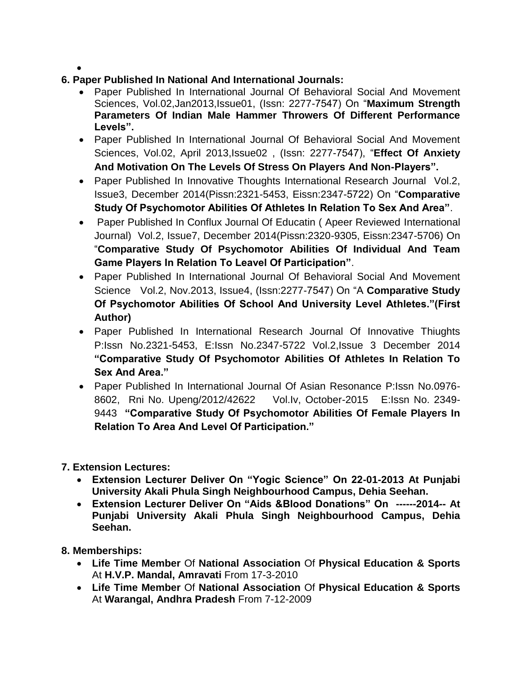$\bullet$ 

- **6. Paper Published In National And International Journals:**
	- Paper Published In International Journal Of Behavioral Social And Movement Sciences, Vol.02,Jan2013,Issue01, (Issn: 2277-7547) On "**Maximum Strength Parameters Of Indian Male Hammer Throwers Of Different Performance Levels".**
	- Paper Published In International Journal Of Behavioral Social And Movement Sciences, Vol.02, April 2013,Issue02 , (Issn: 2277-7547), "**Effect Of Anxiety And Motivation On The Levels Of Stress On Players And Non-Players".**
	- Paper Published In Innovative Thoughts International Research Journal Vol.2, Issue3, December 2014(Pissn:2321-5453, Eissn:2347-5722) On "**Comparative Study Of Psychomotor Abilities Of Athletes In Relation To Sex And Area"**.
	- Paper Published In Conflux Journal Of Educatin ( Apeer Reviewed International Journal) Vol.2, Issue7, December 2014(Pissn:2320-9305, Eissn:2347-5706) On "**Comparative Study Of Psychomotor Abilities Of Individual And Team Game Players In Relation To Leavel Of Participation"**.
	- Paper Published In International Journal Of Behavioral Social And Movement Science Vol.2, Nov.2013, Issue4, (Issn:2277-7547) On "A **Comparative Study Of Psychomotor Abilities Of School And University Level Athletes."(First Author)**
	- Paper Published In International Research Journal Of Innovative Thiughts P:Issn No.2321-5453, E:Issn No.2347-5722 Vol.2,Issue 3 December 2014 **"Comparative Study Of Psychomotor Abilities Of Athletes In Relation To Sex And Area."**
	- Paper Published In International Journal Of Asian Resonance P:Issn No.0976- 8602, Rni No. Upeng/2012/42622 Vol.Iv, October-2015 E:Issn No. 2349- 9443 **"Comparative Study Of Psychomotor Abilities Of Female Players In Relation To Area And Level Of Participation."**
- **7. Extension Lectures:**
	- **Extension Lecturer Deliver On "Yogic Science" On 22-01-2013 At Punjabi University Akali Phula Singh Neighbourhood Campus, Dehia Seehan.**
	- **Extension Lecturer Deliver On "Aids &Blood Donations" On ------2014-- At Punjabi University Akali Phula Singh Neighbourhood Campus, Dehia Seehan.**
- **8. Memberships:**
	- **Life Time Member** Of **National Association** Of **Physical Education & Sports**  At **H.V.P. Mandal, Amravati** From 17-3-2010
	- **Life Time Member** Of **National Association** Of **Physical Education & Sports**  At **Warangal, Andhra Pradesh** From 7-12-2009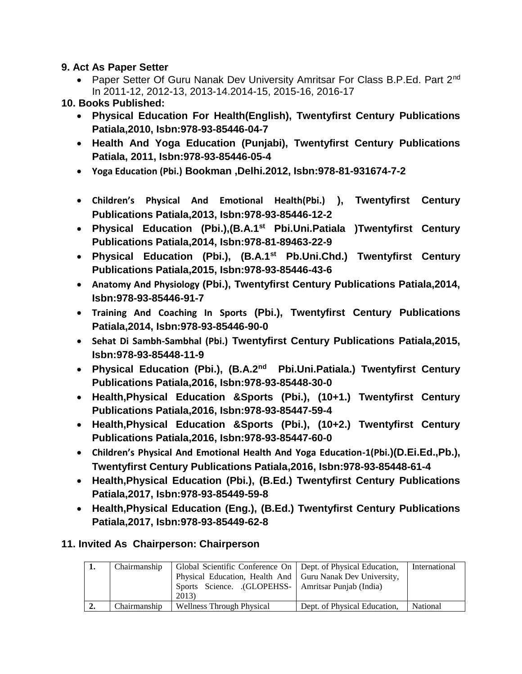#### **9. Act As Paper Setter**

- Paper Setter Of Guru Nanak Dev University Amritsar For Class B.P.Ed. Part 2nd In 2011-12, 2012-13, 2013-14.2014-15, 2015-16, 2016-17
- **10. Books Published:**
	- **Physical Education For Health(English), Twentyfirst Century Publications Patiala,2010, Isbn:978-93-85446-04-7**
	- **Health And Yoga Education (Punjabi), Twentyfirst Century Publications Patiala, 2011, Isbn:978-93-85446-05-4**
	- **Yoga Education (Pbi.) Bookman ,Delhi.2012, Isbn:978-81-931674-7-2**
	- **Children's Physical And Emotional Health(Pbi.) ), Twentyfirst Century Publications Patiala,2013, Isbn:978-93-85446-12-2**
	- **Physical Education (Pbi.),(B.A.1st Pbi.Uni.Patiala )Twentyfirst Century Publications Patiala,2014, Isbn:978-81-89463-22-9**
	- **Physical Education (Pbi.), (B.A.1st Pb.Uni.Chd.) Twentyfirst Century Publications Patiala,2015, Isbn:978-93-85446-43-6**
	- **Anatomy And Physiology (Pbi.), Twentyfirst Century Publications Patiala,2014, Isbn:978-93-85446-91-7**
	- **Training And Coaching In Sports (Pbi.), Twentyfirst Century Publications Patiala,2014, Isbn:978-93-85446-90-0**
	- **Sehat Di Sambh-Sambhal (Pbi.) Twentyfirst Century Publications Patiala,2015, Isbn:978-93-85448-11-9**
	- **Physical Education (Pbi.), (B.A.2nd Pbi.Uni.Patiala.) Twentyfirst Century Publications Patiala,2016, Isbn:978-93-85448-30-0**
	- **Health,Physical Education &Sports (Pbi.), (10+1.) Twentyfirst Century Publications Patiala,2016, Isbn:978-93-85447-59-4**
	- **Health,Physical Education &Sports (Pbi.), (10+2.) Twentyfirst Century Publications Patiala,2016, Isbn:978-93-85447-60-0**
	- **Children's Physical And Emotional Health And Yoga Education-1(Pbi.)(D.Ei.Ed.,Pb.), Twentyfirst Century Publications Patiala,2016, Isbn:978-93-85448-61-4**
	- **Health,Physical Education (Pbi.), (B.Ed.) Twentyfirst Century Publications Patiala,2017, Isbn:978-93-85449-59-8**
	- **Health,Physical Education (Eng.), (B.Ed.) Twentyfirst Century Publications Patiala,2017, Isbn:978-93-85449-62-8**

## **11. Invited As Chairperson: Chairperson**

| ı. | Chairmanship | Global Scientific Conference On   Dept. of Physical Education,<br>Physical Education, Health And   Guru Nanak Dev University,<br>Sports Science. (GLOPEHSS-   Amritsar Punjab (India)<br>2013) |                              | International |
|----|--------------|------------------------------------------------------------------------------------------------------------------------------------------------------------------------------------------------|------------------------------|---------------|
| ∸- | Chairmanship | Wellness Through Physical                                                                                                                                                                      | Dept. of Physical Education, | National      |